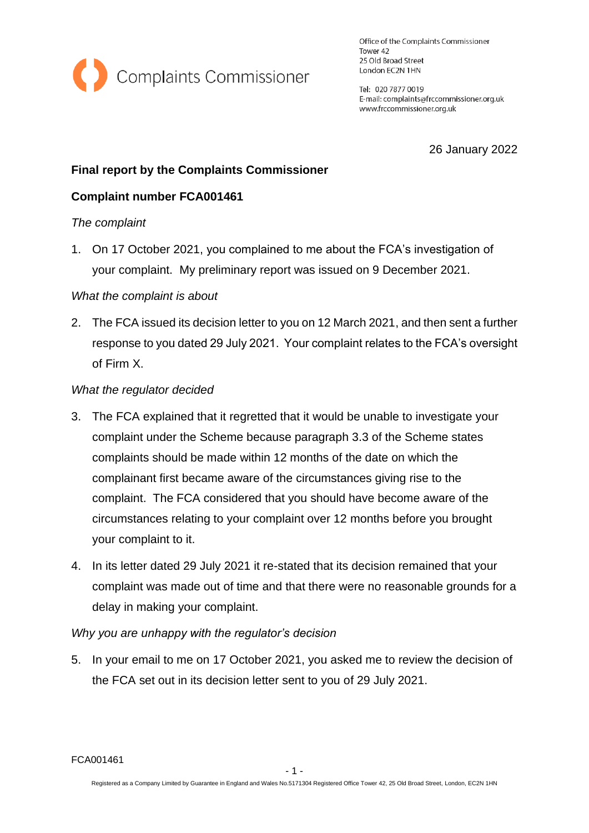

Office of the Complaints Commissioner Tower 42 25 Old Broad Street London EC2N 1HN

Tel: 020 7877 0019 E-mail: complaints@frccommissioner.org.uk www.frccommissioner.org.uk

26 January 2022

# **Final report by the Complaints Commissioner**

# **Complaint number FCA001461**

### *The complaint*

1. On 17 October 2021, you complained to me about the FCA's investigation of your complaint. My preliminary report was issued on 9 December 2021.

### *What the complaint is about*

2. The FCA issued its decision letter to you on 12 March 2021, and then sent a further response to you dated 29 July 2021. Your complaint relates to the FCA's oversight of Firm X.

### *What the regulator decided*

- 3. The FCA explained that it regretted that it would be unable to investigate your complaint under the Scheme because paragraph 3.3 of the Scheme states complaints should be made within 12 months of the date on which the complainant first became aware of the circumstances giving rise to the complaint. The FCA considered that you should have become aware of the circumstances relating to your complaint over 12 months before you brought your complaint to it.
- 4. In its letter dated 29 July 2021 it re-stated that its decision remained that your complaint was made out of time and that there were no reasonable grounds for a delay in making your complaint.

### *Why you are unhappy with the regulator's decision*

5. In your email to me on 17 October 2021, you asked me to review the decision of the FCA set out in its decision letter sent to you of 29 July 2021.

FCA001461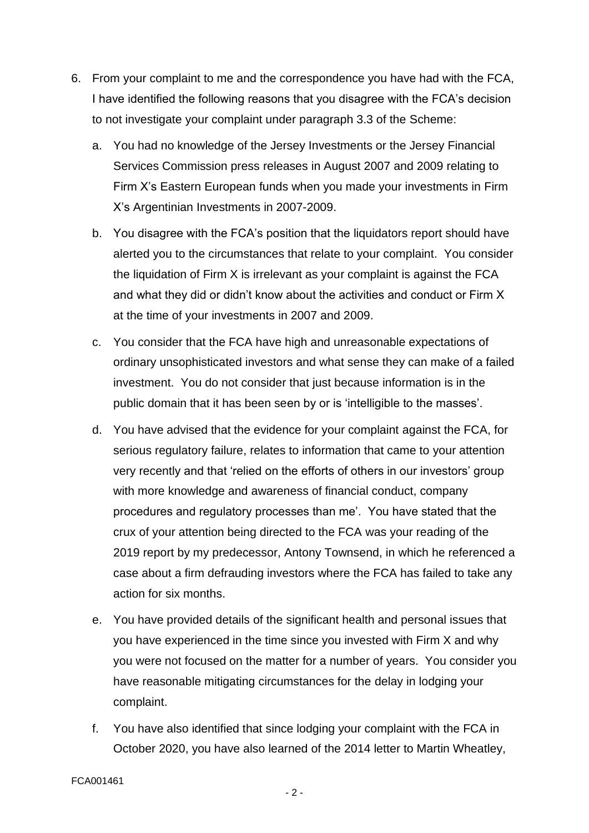- 6. From your complaint to me and the correspondence you have had with the FCA, I have identified the following reasons that you disagree with the FCA's decision to not investigate your complaint under paragraph 3.3 of the Scheme:
	- a. You had no knowledge of the Jersey Investments or the Jersey Financial Services Commission press releases in August 2007 and 2009 relating to Firm X's Eastern European funds when you made your investments in Firm X's Argentinian Investments in 2007-2009.
	- b. You disagree with the FCA's position that the liquidators report should have alerted you to the circumstances that relate to your complaint. You consider the liquidation of Firm X is irrelevant as your complaint is against the FCA and what they did or didn't know about the activities and conduct or Firm X at the time of your investments in 2007 and 2009.
	- c. You consider that the FCA have high and unreasonable expectations of ordinary unsophisticated investors and what sense they can make of a failed investment. You do not consider that just because information is in the public domain that it has been seen by or is 'intelligible to the masses'.
	- d. You have advised that the evidence for your complaint against the FCA, for serious regulatory failure, relates to information that came to your attention very recently and that 'relied on the efforts of others in our investors' group with more knowledge and awareness of financial conduct, company procedures and regulatory processes than me'. You have stated that the crux of your attention being directed to the FCA was your reading of the 2019 report by my predecessor, Antony Townsend, in which he referenced a case about a firm defrauding investors where the FCA has failed to take any action for six months.
	- e. You have provided details of the significant health and personal issues that you have experienced in the time since you invested with Firm X and why you were not focused on the matter for a number of years. You consider you have reasonable mitigating circumstances for the delay in lodging your complaint.
	- f. You have also identified that since lodging your complaint with the FCA in October 2020, you have also learned of the 2014 letter to Martin Wheatley,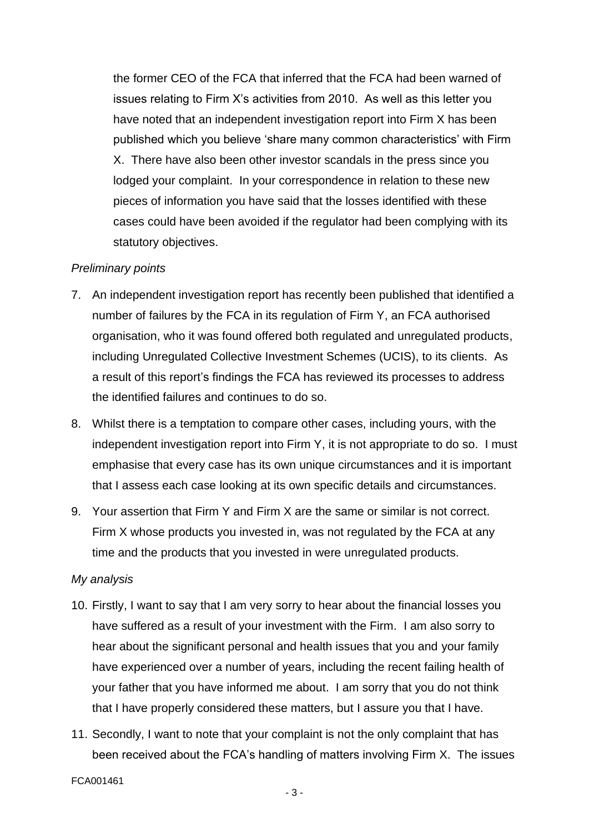the former CEO of the FCA that inferred that the FCA had been warned of issues relating to Firm X's activities from 2010. As well as this letter you have noted that an independent investigation report into Firm X has been published which you believe 'share many common characteristics' with Firm X. There have also been other investor scandals in the press since you lodged your complaint. In your correspondence in relation to these new pieces of information you have said that the losses identified with these cases could have been avoided if the regulator had been complying with its statutory objectives.

#### *Preliminary points*

- 7. An independent investigation report has recently been published that identified a number of failures by the FCA in its regulation of Firm Y, an FCA authorised organisation, who it was found offered both regulated and unregulated products, including Unregulated Collective Investment Schemes (UCIS), to its clients. As a result of this report's findings the FCA has reviewed its processes to address the identified failures and continues to do so.
- 8. Whilst there is a temptation to compare other cases, including yours, with the independent investigation report into Firm Y, it is not appropriate to do so. I must emphasise that every case has its own unique circumstances and it is important that I assess each case looking at its own specific details and circumstances.
- 9. Your assertion that Firm Y and Firm X are the same or similar is not correct. Firm X whose products you invested in, was not regulated by the FCA at any time and the products that you invested in were unregulated products.

#### *My analysis*

- 10. Firstly, I want to say that I am very sorry to hear about the financial losses you have suffered as a result of your investment with the Firm. I am also sorry to hear about the significant personal and health issues that you and your family have experienced over a number of years, including the recent failing health of your father that you have informed me about. I am sorry that you do not think that I have properly considered these matters, but I assure you that I have.
- 11. Secondly, I want to note that your complaint is not the only complaint that has been received about the FCA's handling of matters involving Firm X. The issues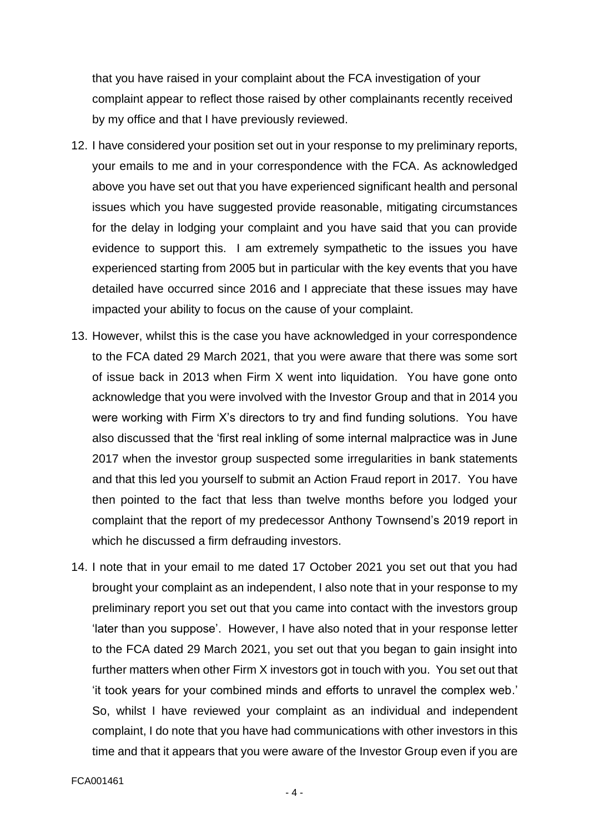that you have raised in your complaint about the FCA investigation of your complaint appear to reflect those raised by other complainants recently received by my office and that I have previously reviewed.

- 12. I have considered your position set out in your response to my preliminary reports, your emails to me and in your correspondence with the FCA. As acknowledged above you have set out that you have experienced significant health and personal issues which you have suggested provide reasonable, mitigating circumstances for the delay in lodging your complaint and you have said that you can provide evidence to support this. I am extremely sympathetic to the issues you have experienced starting from 2005 but in particular with the key events that you have detailed have occurred since 2016 and I appreciate that these issues may have impacted your ability to focus on the cause of your complaint.
- 13. However, whilst this is the case you have acknowledged in your correspondence to the FCA dated 29 March 2021, that you were aware that there was some sort of issue back in 2013 when Firm X went into liquidation. You have gone onto acknowledge that you were involved with the Investor Group and that in 2014 you were working with Firm X's directors to try and find funding solutions. You have also discussed that the 'first real inkling of some internal malpractice was in June 2017 when the investor group suspected some irregularities in bank statements and that this led you yourself to submit an Action Fraud report in 2017. You have then pointed to the fact that less than twelve months before you lodged your complaint that the report of my predecessor Anthony Townsend's 2019 report in which he discussed a firm defrauding investors.
- 14. I note that in your email to me dated 17 October 2021 you set out that you had brought your complaint as an independent, I also note that in your response to my preliminary report you set out that you came into contact with the investors group 'later than you suppose'. However, I have also noted that in your response letter to the FCA dated 29 March 2021, you set out that you began to gain insight into further matters when other Firm X investors got in touch with you. You set out that 'it took years for your combined minds and efforts to unravel the complex web.' So, whilst I have reviewed your complaint as an individual and independent complaint, I do note that you have had communications with other investors in this time and that it appears that you were aware of the Investor Group even if you are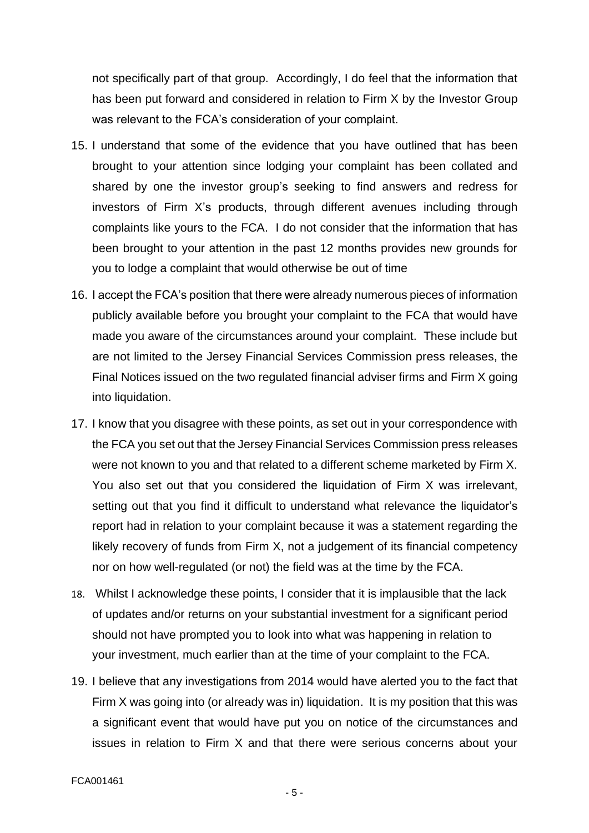not specifically part of that group. Accordingly, I do feel that the information that has been put forward and considered in relation to Firm X by the Investor Group was relevant to the FCA's consideration of your complaint.

- 15. I understand that some of the evidence that you have outlined that has been brought to your attention since lodging your complaint has been collated and shared by one the investor group's seeking to find answers and redress for investors of Firm X's products, through different avenues including through complaints like yours to the FCA. I do not consider that the information that has been brought to your attention in the past 12 months provides new grounds for you to lodge a complaint that would otherwise be out of time
- 16. I accept the FCA's position that there were already numerous pieces of information publicly available before you brought your complaint to the FCA that would have made you aware of the circumstances around your complaint. These include but are not limited to the Jersey Financial Services Commission press releases, the Final Notices issued on the two regulated financial adviser firms and Firm X going into liquidation.
- 17. I know that you disagree with these points, as set out in your correspondence with the FCA you set out that the Jersey Financial Services Commission press releases were not known to you and that related to a different scheme marketed by Firm X. You also set out that you considered the liquidation of Firm X was irrelevant, setting out that you find it difficult to understand what relevance the liquidator's report had in relation to your complaint because it was a statement regarding the likely recovery of funds from Firm X, not a judgement of its financial competency nor on how well-regulated (or not) the field was at the time by the FCA.
- 18. Whilst I acknowledge these points, I consider that it is implausible that the lack of updates and/or returns on your substantial investment for a significant period should not have prompted you to look into what was happening in relation to your investment, much earlier than at the time of your complaint to the FCA.
- 19. I believe that any investigations from 2014 would have alerted you to the fact that Firm X was going into (or already was in) liquidation. It is my position that this was a significant event that would have put you on notice of the circumstances and issues in relation to Firm X and that there were serious concerns about your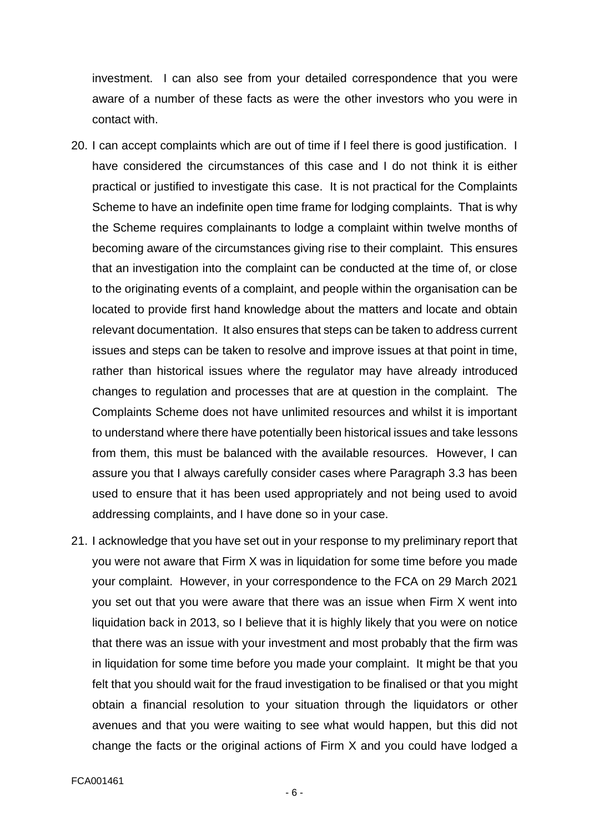investment. I can also see from your detailed correspondence that you were aware of a number of these facts as were the other investors who you were in contact with.

- 20. I can accept complaints which are out of time if I feel there is good justification. I have considered the circumstances of this case and I do not think it is either practical or justified to investigate this case. It is not practical for the Complaints Scheme to have an indefinite open time frame for lodging complaints. That is why the Scheme requires complainants to lodge a complaint within twelve months of becoming aware of the circumstances giving rise to their complaint. This ensures that an investigation into the complaint can be conducted at the time of, or close to the originating events of a complaint, and people within the organisation can be located to provide first hand knowledge about the matters and locate and obtain relevant documentation. It also ensures that steps can be taken to address current issues and steps can be taken to resolve and improve issues at that point in time, rather than historical issues where the regulator may have already introduced changes to regulation and processes that are at question in the complaint. The Complaints Scheme does not have unlimited resources and whilst it is important to understand where there have potentially been historical issues and take lessons from them, this must be balanced with the available resources. However, I can assure you that I always carefully consider cases where Paragraph 3.3 has been used to ensure that it has been used appropriately and not being used to avoid addressing complaints, and I have done so in your case.
- 21. I acknowledge that you have set out in your response to my preliminary report that you were not aware that Firm X was in liquidation for some time before you made your complaint. However, in your correspondence to the FCA on 29 March 2021 you set out that you were aware that there was an issue when Firm X went into liquidation back in 2013, so I believe that it is highly likely that you were on notice that there was an issue with your investment and most probably that the firm was in liquidation for some time before you made your complaint. It might be that you felt that you should wait for the fraud investigation to be finalised or that you might obtain a financial resolution to your situation through the liquidators or other avenues and that you were waiting to see what would happen, but this did not change the facts or the original actions of Firm X and you could have lodged a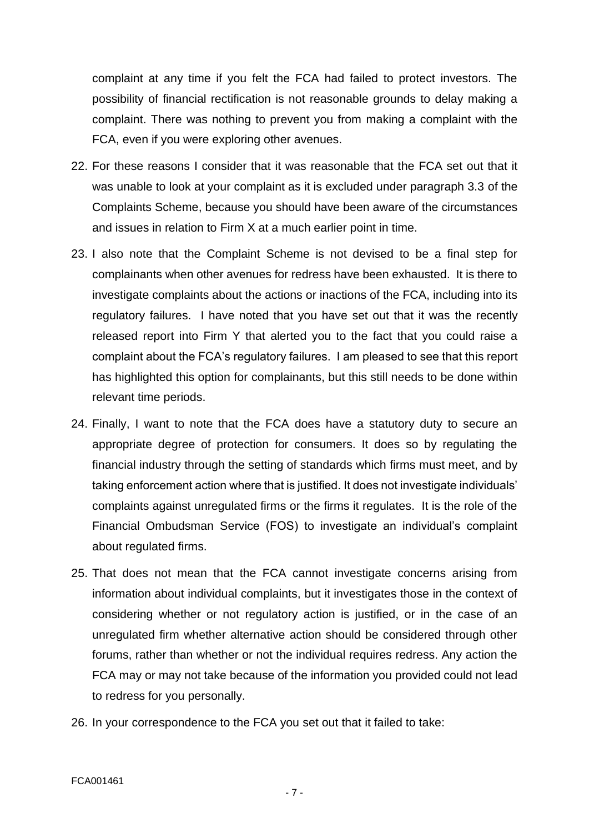complaint at any time if you felt the FCA had failed to protect investors. The possibility of financial rectification is not reasonable grounds to delay making a complaint. There was nothing to prevent you from making a complaint with the FCA, even if you were exploring other avenues.

- 22. For these reasons I consider that it was reasonable that the FCA set out that it was unable to look at your complaint as it is excluded under paragraph 3.3 of the Complaints Scheme, because you should have been aware of the circumstances and issues in relation to Firm X at a much earlier point in time.
- 23. I also note that the Complaint Scheme is not devised to be a final step for complainants when other avenues for redress have been exhausted. It is there to investigate complaints about the actions or inactions of the FCA, including into its regulatory failures. I have noted that you have set out that it was the recently released report into Firm Y that alerted you to the fact that you could raise a complaint about the FCA's regulatory failures. I am pleased to see that this report has highlighted this option for complainants, but this still needs to be done within relevant time periods.
- 24. Finally, I want to note that the FCA does have a statutory duty to secure an appropriate degree of protection for consumers. It does so by regulating the financial industry through the setting of standards which firms must meet, and by taking enforcement action where that is justified. It does not investigate individuals' complaints against unregulated firms or the firms it regulates. It is the role of the Financial Ombudsman Service (FOS) to investigate an individual's complaint about regulated firms.
- 25. That does not mean that the FCA cannot investigate concerns arising from information about individual complaints, but it investigates those in the context of considering whether or not regulatory action is justified, or in the case of an unregulated firm whether alternative action should be considered through other forums, rather than whether or not the individual requires redress. Any action the FCA may or may not take because of the information you provided could not lead to redress for you personally.
- 26. In your correspondence to the FCA you set out that it failed to take: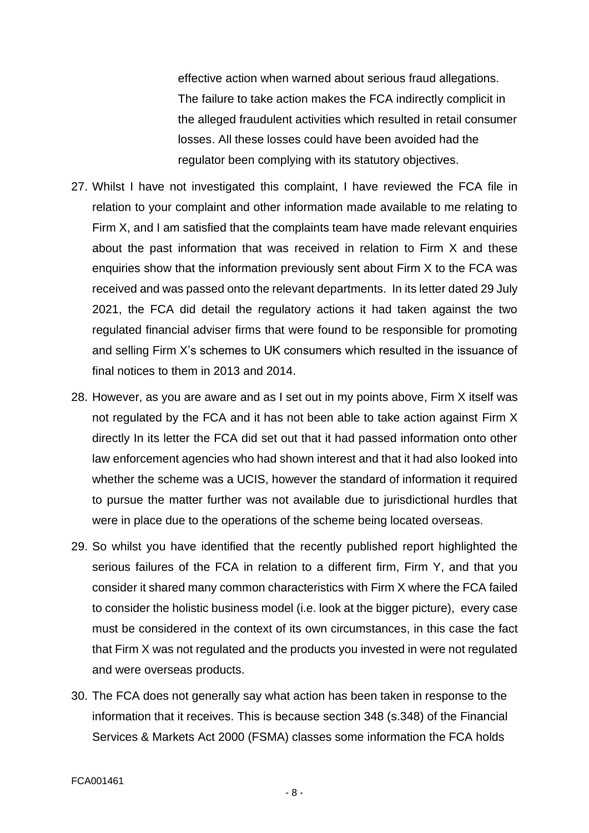effective action when warned about serious fraud allegations. The failure to take action makes the FCA indirectly complicit in the alleged fraudulent activities which resulted in retail consumer losses. All these losses could have been avoided had the regulator been complying with its statutory objectives.

- 27. Whilst I have not investigated this complaint, I have reviewed the FCA file in relation to your complaint and other information made available to me relating to Firm X, and I am satisfied that the complaints team have made relevant enquiries about the past information that was received in relation to Firm X and these enquiries show that the information previously sent about Firm X to the FCA was received and was passed onto the relevant departments. In its letter dated 29 July 2021, the FCA did detail the regulatory actions it had taken against the two regulated financial adviser firms that were found to be responsible for promoting and selling Firm X's schemes to UK consumers which resulted in the issuance of final notices to them in 2013 and 2014.
- 28. However, as you are aware and as I set out in my points above, Firm X itself was not regulated by the FCA and it has not been able to take action against Firm X directly In its letter the FCA did set out that it had passed information onto other law enforcement agencies who had shown interest and that it had also looked into whether the scheme was a UCIS, however the standard of information it required to pursue the matter further was not available due to jurisdictional hurdles that were in place due to the operations of the scheme being located overseas.
- 29. So whilst you have identified that the recently published report highlighted the serious failures of the FCA in relation to a different firm, Firm Y, and that you consider it shared many common characteristics with Firm X where the FCA failed to consider the holistic business model (i.e. look at the bigger picture), every case must be considered in the context of its own circumstances, in this case the fact that Firm X was not regulated and the products you invested in were not regulated and were overseas products.
- 30. The FCA does not generally say what action has been taken in response to the information that it receives. This is because section 348 (s.348) of the Financial Services & Markets Act 2000 (FSMA) classes some information the FCA holds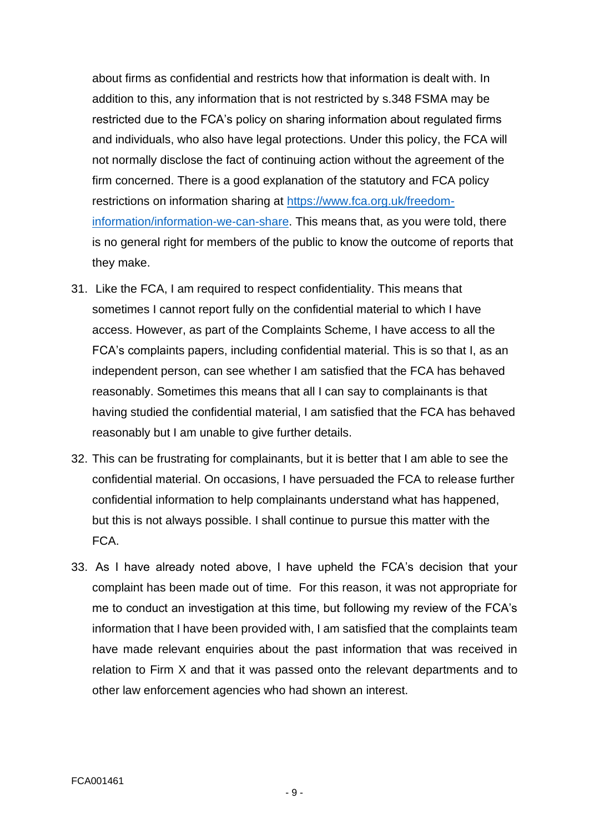about firms as confidential and restricts how that information is dealt with. In addition to this, any information that is not restricted by s.348 FSMA may be restricted due to the FCA's policy on sharing information about regulated firms and individuals, who also have legal protections. Under this policy, the FCA will not normally disclose the fact of continuing action without the agreement of the firm concerned. There is a good explanation of the statutory and FCA policy restrictions on information sharing at [https://www.fca.org.uk/freedom](https://www.fca.org.uk/freedom-information/information-we-can-share)[information/information-we-can-share.](https://www.fca.org.uk/freedom-information/information-we-can-share) This means that, as you were told, there is no general right for members of the public to know the outcome of reports that they make.

- 31. Like the FCA, I am required to respect confidentiality. This means that sometimes I cannot report fully on the confidential material to which I have access. However, as part of the Complaints Scheme, I have access to all the FCA's complaints papers, including confidential material. This is so that I, as an independent person, can see whether I am satisfied that the FCA has behaved reasonably. Sometimes this means that all I can say to complainants is that having studied the confidential material, I am satisfied that the FCA has behaved reasonably but I am unable to give further details.
- 32. This can be frustrating for complainants, but it is better that I am able to see the confidential material. On occasions, I have persuaded the FCA to release further confidential information to help complainants understand what has happened, but this is not always possible. I shall continue to pursue this matter with the FCA.
- 33. As I have already noted above, I have upheld the FCA's decision that your complaint has been made out of time. For this reason, it was not appropriate for me to conduct an investigation at this time, but following my review of the FCA's information that I have been provided with, I am satisfied that the complaints team have made relevant enquiries about the past information that was received in relation to Firm X and that it was passed onto the relevant departments and to other law enforcement agencies who had shown an interest.